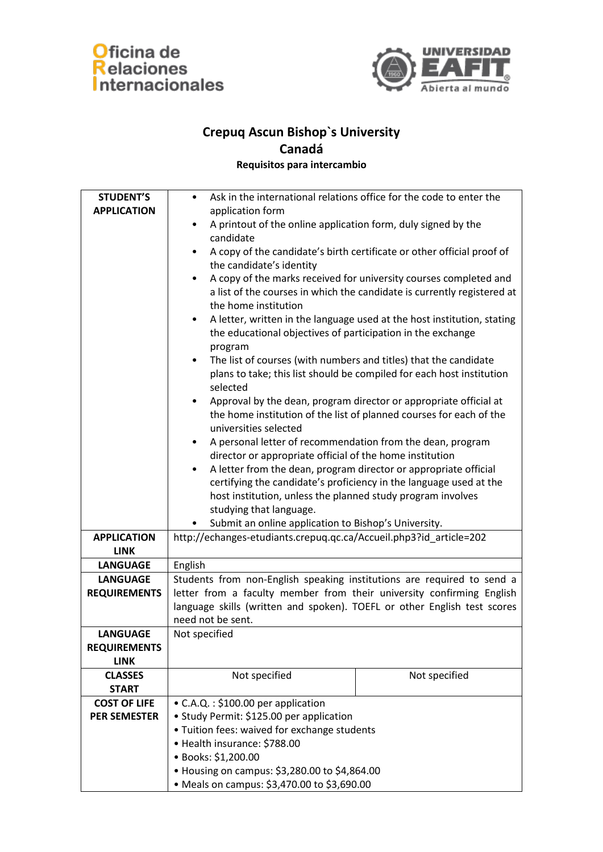



## **Crepuq Ascun Bishop`s University Canadá**

**Requisitos para intercambio**

| <b>STUDENT'S</b>    | Ask in the international relations office for the code to enter the<br>$\bullet$    |
|---------------------|-------------------------------------------------------------------------------------|
|                     |                                                                                     |
| <b>APPLICATION</b>  | application form                                                                    |
|                     | A printout of the online application form, duly signed by the<br>$\bullet$          |
|                     | candidate                                                                           |
|                     | A copy of the candidate's birth certificate or other official proof of<br>$\bullet$ |
|                     | the candidate's identity                                                            |
|                     | A copy of the marks received for university courses completed and                   |
|                     | a list of the courses in which the candidate is currently registered at             |
|                     | the home institution                                                                |
|                     | A letter, written in the language used at the host institution, stating             |
|                     | the educational objectives of participation in the exchange                         |
|                     | program                                                                             |
|                     | The list of courses (with numbers and titles) that the candidate<br>$\bullet$       |
|                     | plans to take; this list should be compiled for each host institution               |
|                     | selected                                                                            |
|                     | Approval by the dean, program director or appropriate official at<br>$\bullet$      |
|                     | the home institution of the list of planned courses for each of the                 |
|                     | universities selected                                                               |
|                     | A personal letter of recommendation from the dean, program                          |
|                     | director or appropriate official of the home institution                            |
|                     | A letter from the dean, program director or appropriate official<br>$\bullet$       |
|                     | certifying the candidate's proficiency in the language used at the                  |
|                     | host institution, unless the planned study program involves                         |
|                     | studying that language.                                                             |
|                     | Submit an online application to Bishop's University.                                |
| <b>APPLICATION</b>  | http://echanges-etudiants.crepuq.qc.ca/Accueil.php3?id_article=202                  |
| <b>LINK</b>         |                                                                                     |
| <b>LANGUAGE</b>     | English                                                                             |
| <b>LANGUAGE</b>     | Students from non-English speaking institutions are required to send a              |
| <b>REQUIREMENTS</b> | letter from a faculty member from their university confirming English               |
|                     | language skills (written and spoken). TOEFL or other English test scores            |
|                     | need not be sent.                                                                   |
| <b>LANGUAGE</b>     | Not specified                                                                       |
| <b>REQUIREMENTS</b> |                                                                                     |
| <b>LINK</b>         |                                                                                     |
| <b>CLASSES</b>      | Not specified<br>Not specified                                                      |
| <b>START</b>        |                                                                                     |
| <b>COST OF LIFE</b> | • C.A.Q.: \$100.00 per application                                                  |
| <b>PER SEMESTER</b> | • Study Permit: \$125.00 per application                                            |
|                     | • Tuition fees: waived for exchange students                                        |
|                     | • Health insurance: \$788.00                                                        |
|                     | · Books: \$1,200.00                                                                 |
|                     | • Housing on campus: \$3,280.00 to \$4,864.00                                       |
|                     | • Meals on campus: \$3,470.00 to \$3,690.00                                         |